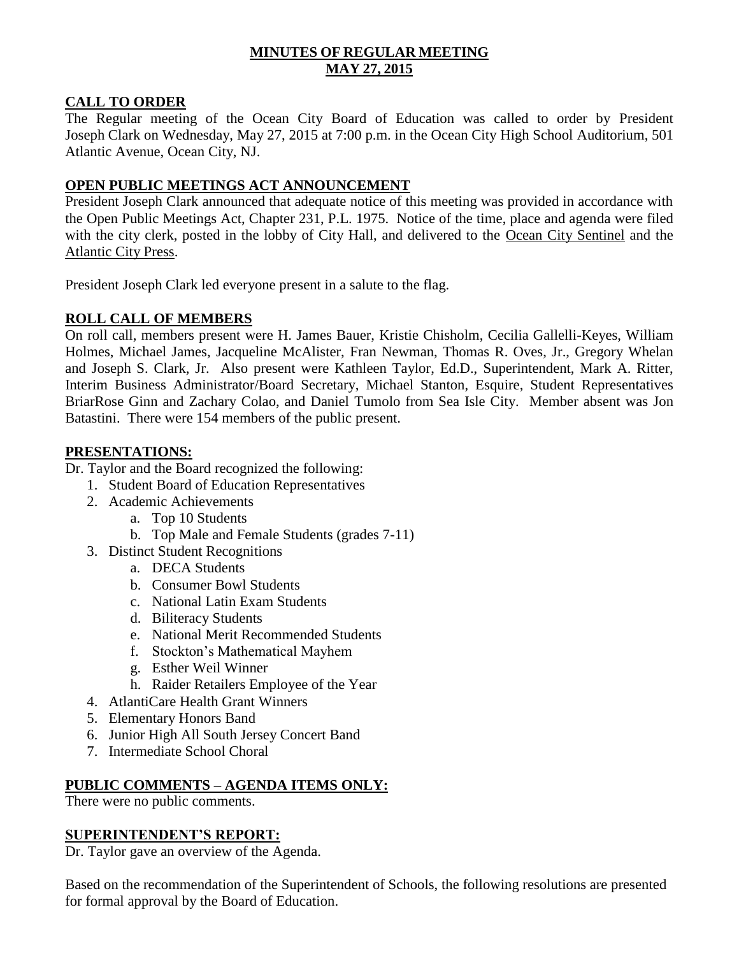## **MINUTES OF REGULAR MEETING MAY 27, 2015**

### **CALL TO ORDER**

The Regular meeting of the Ocean City Board of Education was called to order by President Joseph Clark on Wednesday, May 27, 2015 at 7:00 p.m. in the Ocean City High School Auditorium, 501 Atlantic Avenue, Ocean City, NJ.

### **OPEN PUBLIC MEETINGS ACT ANNOUNCEMENT**

President Joseph Clark announced that adequate notice of this meeting was provided in accordance with the Open Public Meetings Act, Chapter 231, P.L. 1975. Notice of the time, place and agenda were filed with the city clerk, posted in the lobby of City Hall, and delivered to the Ocean City Sentinel and the Atlantic City Press.

President Joseph Clark led everyone present in a salute to the flag.

### **ROLL CALL OF MEMBERS**

On roll call, members present were H. James Bauer, Kristie Chisholm, Cecilia Gallelli-Keyes, William Holmes, Michael James, Jacqueline McAlister, Fran Newman, Thomas R. Oves, Jr., Gregory Whelan and Joseph S. Clark, Jr. Also present were Kathleen Taylor, Ed.D., Superintendent, Mark A. Ritter, Interim Business Administrator/Board Secretary, Michael Stanton, Esquire, Student Representatives BriarRose Ginn and Zachary Colao, and Daniel Tumolo from Sea Isle City. Member absent was Jon Batastini. There were 154 members of the public present.

### **PRESENTATIONS:**

Dr. Taylor and the Board recognized the following:

- 1. Student Board of Education Representatives
- 2. Academic Achievements
	- a. Top 10 Students
	- b. Top Male and Female Students (grades 7-11)
- 3. Distinct Student Recognitions
	- a. DECA Students
	- b. Consumer Bowl Students
	- c. National Latin Exam Students
	- d. Biliteracy Students
	- e. National Merit Recommended Students
	- f. Stockton's Mathematical Mayhem
	- g. Esther Weil Winner
	- h. Raider Retailers Employee of the Year
- 4. AtlantiCare Health Grant Winners
- 5. Elementary Honors Band
- 6. Junior High All South Jersey Concert Band
- 7. Intermediate School Choral

### **PUBLIC COMMENTS – AGENDA ITEMS ONLY:**

There were no public comments.

#### **SUPERINTENDENT'S REPORT:**

Dr. Taylor gave an overview of the Agenda.

Based on the recommendation of the Superintendent of Schools, the following resolutions are presented for formal approval by the Board of Education.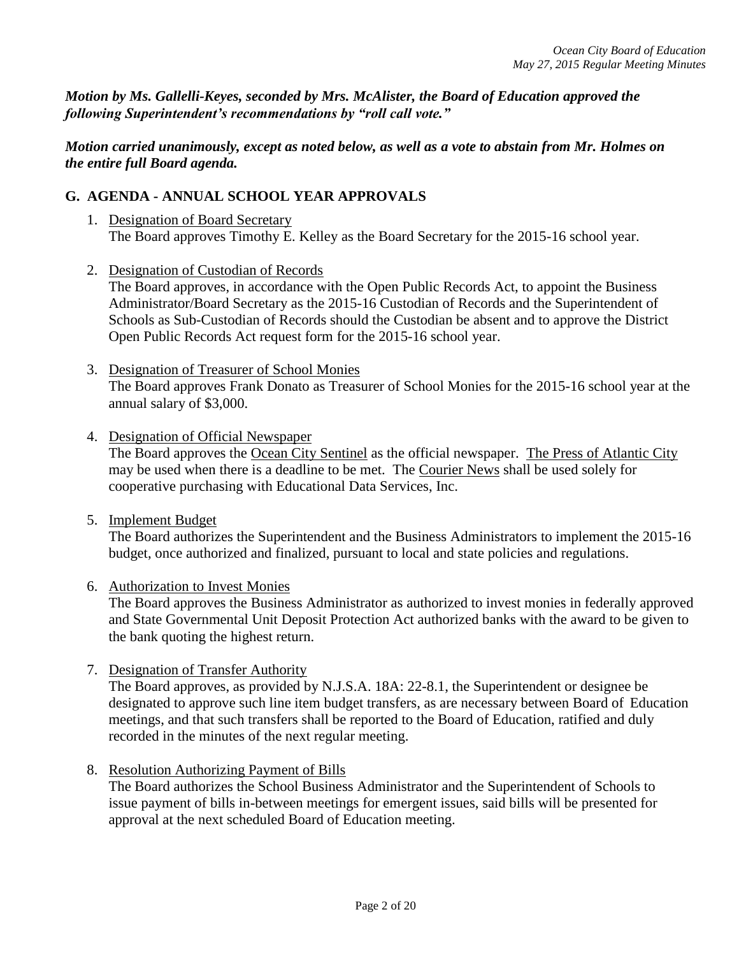*Motion by Ms. Gallelli-Keyes, seconded by Mrs. McAlister, the Board of Education approved the following Superintendent's recommendations by "roll call vote."* 

*Motion carried unanimously, except as noted below, as well as a vote to abstain from Mr. Holmes on the entire full Board agenda.*

## **G. AGENDA - ANNUAL SCHOOL YEAR APPROVALS**

- 1. Designation of Board Secretary The Board approves Timothy E. Kelley as the Board Secretary for the 2015-16 school year.
- 2. Designation of Custodian of Records

The Board approves, in accordance with the Open Public Records Act, to appoint the Business Administrator/Board Secretary as the 2015-16 Custodian of Records and the Superintendent of Schools as Sub-Custodian of Records should the Custodian be absent and to approve the District Open Public Records Act request form for the 2015-16 school year.

- 3. Designation of Treasurer of School Monies The Board approves Frank Donato as Treasurer of School Monies for the 2015-16 school year at the annual salary of \$3,000.
- 4. Designation of Official Newspaper

The Board approves the Ocean City Sentinel as the official newspaper. The Press of Atlantic City may be used when there is a deadline to be met. The Courier News shall be used solely for cooperative purchasing with Educational Data Services, Inc.

5. Implement Budget

The Board authorizes the Superintendent and the Business Administrators to implement the 2015-16 budget, once authorized and finalized, pursuant to local and state policies and regulations.

6. Authorization to Invest Monies

The Board approves the Business Administrator as authorized to invest monies in federally approved and State Governmental Unit Deposit Protection Act authorized banks with the award to be given to the bank quoting the highest return.

7. Designation of Transfer Authority

The Board approves, as provided by N.J.S.A. 18A: 22-8.1, the Superintendent or designee be designated to approve such line item budget transfers, as are necessary between Board of Education meetings, and that such transfers shall be reported to the Board of Education, ratified and duly recorded in the minutes of the next regular meeting.

8. Resolution Authorizing Payment of Bills

The Board authorizes the School Business Administrator and the Superintendent of Schools to issue payment of bills in-between meetings for emergent issues, said bills will be presented for approval at the next scheduled Board of Education meeting.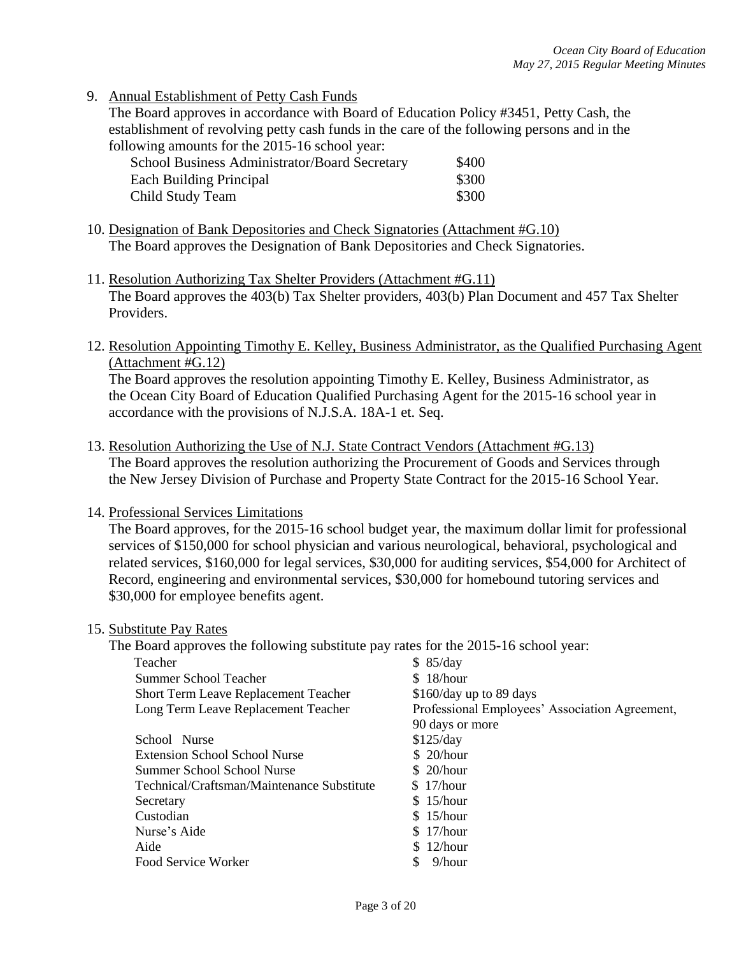9. Annual Establishment of Petty Cash Funds

The Board approves in accordance with Board of Education Policy #3451, Petty Cash, the establishment of revolving petty cash funds in the care of the following persons and in the following amounts for the 2015-16 school year:

| School Business Administrator/Board Secretary | \$400 |
|-----------------------------------------------|-------|
| Each Building Principal                       | \$300 |
| Child Study Team                              | \$300 |

- 10. Designation of Bank Depositories and Check Signatories (Attachment #G.10) The Board approves the Designation of Bank Depositories and Check Signatories.
- 11. Resolution Authorizing Tax Shelter Providers (Attachment #G.11) The Board approves the 403(b) Tax Shelter providers, 403(b) Plan Document and 457 Tax Shelter Providers.
- 12. Resolution Appointing Timothy E. Kelley, Business Administrator, as the Qualified Purchasing Agent (Attachment #G.12)

The Board approves the resolution appointing Timothy E. Kelley, Business Administrator, as the Ocean City Board of Education Qualified Purchasing Agent for the 2015-16 school year in accordance with the provisions of N.J.S.A. 18A-1 et. Seq.

- 13. Resolution Authorizing the Use of N.J. State Contract Vendors (Attachment #G.13) The Board approves the resolution authorizing the Procurement of Goods and Services through the New Jersey Division of Purchase and Property State Contract for the 2015-16 School Year.
- 14. Professional Services Limitations

The Board approves, for the 2015-16 school budget year, the maximum dollar limit for professional services of \$150,000 for school physician and various neurological, behavioral, psychological and related services, \$160,000 for legal services, \$30,000 for auditing services, \$54,000 for Architect of Record, engineering and environmental services, \$30,000 for homebound tutoring services and \$30,000 for employee benefits agent.

#### 15. Substitute Pay Rates

The Board approves the following substitute pay rates for the 2015-16 school year:

| Teacher                                     | \$85/day                                       |
|---------------------------------------------|------------------------------------------------|
| Summer School Teacher                       | \$18/hour                                      |
| <b>Short Term Leave Replacement Teacher</b> | \$160/day up to 89 days                        |
| Long Term Leave Replacement Teacher         | Professional Employees' Association Agreement, |
|                                             | 90 days or more                                |
| School Nurse                                | \$125/day                                      |
| <b>Extension School School Nurse</b>        | \$20/hour                                      |
| Summer School School Nurse                  | \$20/hour                                      |
| Technical/Craftsman/Maintenance Substitute  | \$17/hour                                      |
| Secretary                                   | \$15/hour                                      |
| Custodian                                   | \$15/hour                                      |
| Nurse's Aide                                | \$17/hour                                      |
| Aide                                        | \$12/hour                                      |
| Food Service Worker                         | $9/h$ our                                      |
|                                             |                                                |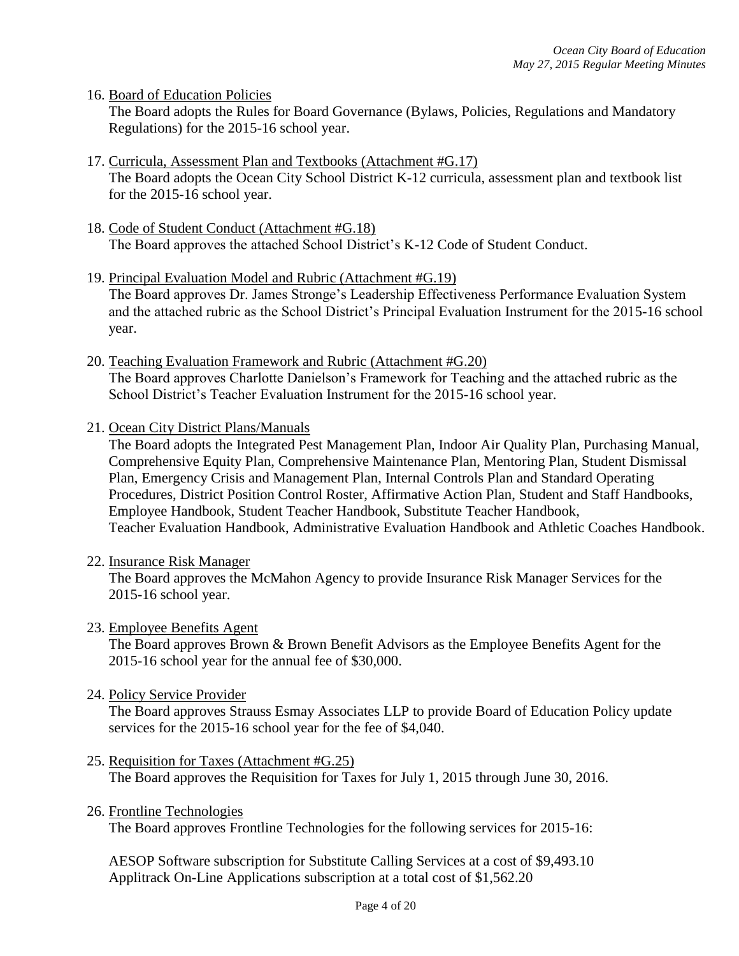16. Board of Education Policies

The Board adopts the Rules for Board Governance (Bylaws, Policies, Regulations and Mandatory Regulations) for the 2015-16 school year.

- 17. Curricula, Assessment Plan and Textbooks (Attachment #G.17) The Board adopts the Ocean City School District K-12 curricula, assessment plan and textbook list for the 2015-16 school year.
- 18. Code of Student Conduct (Attachment #G.18) The Board approves the attached School District's K-12 Code of Student Conduct.
- 19. Principal Evaluation Model and Rubric (Attachment #G.19) The Board approves Dr. James Stronge's Leadership Effectiveness Performance Evaluation System and the attached rubric as the School District's Principal Evaluation Instrument for the 2015-16 school year.
- 20. Teaching Evaluation Framework and Rubric (Attachment #G.20) The Board approves Charlotte Danielson's Framework for Teaching and the attached rubric as the School District's Teacher Evaluation Instrument for the 2015-16 school year.
- 21. Ocean City District Plans/Manuals

The Board adopts the Integrated Pest Management Plan, Indoor Air Quality Plan, Purchasing Manual, Comprehensive Equity Plan, Comprehensive Maintenance Plan, Mentoring Plan, Student Dismissal Plan, Emergency Crisis and Management Plan, Internal Controls Plan and Standard Operating Procedures, District Position Control Roster, Affirmative Action Plan, Student and Staff Handbooks, Employee Handbook, Student Teacher Handbook, Substitute Teacher Handbook, Teacher Evaluation Handbook, Administrative Evaluation Handbook and Athletic Coaches Handbook.

22. Insurance Risk Manager

The Board approves the McMahon Agency to provide Insurance Risk Manager Services for the 2015-16 school year.

23. Employee Benefits Agent

The Board approves Brown & Brown Benefit Advisors as the Employee Benefits Agent for the 2015-16 school year for the annual fee of \$30,000.

24. Policy Service Provider

The Board approves Strauss Esmay Associates LLP to provide Board of Education Policy update services for the 2015-16 school year for the fee of \$4,040.

- 25. Requisition for Taxes (Attachment #G.25) The Board approves the Requisition for Taxes for July 1, 2015 through June 30, 2016.
- 26. Frontline Technologies

The Board approves Frontline Technologies for the following services for 2015-16:

AESOP Software subscription for Substitute Calling Services at a cost of \$9,493.10 Applitrack On-Line Applications subscription at a total cost of \$1,562.20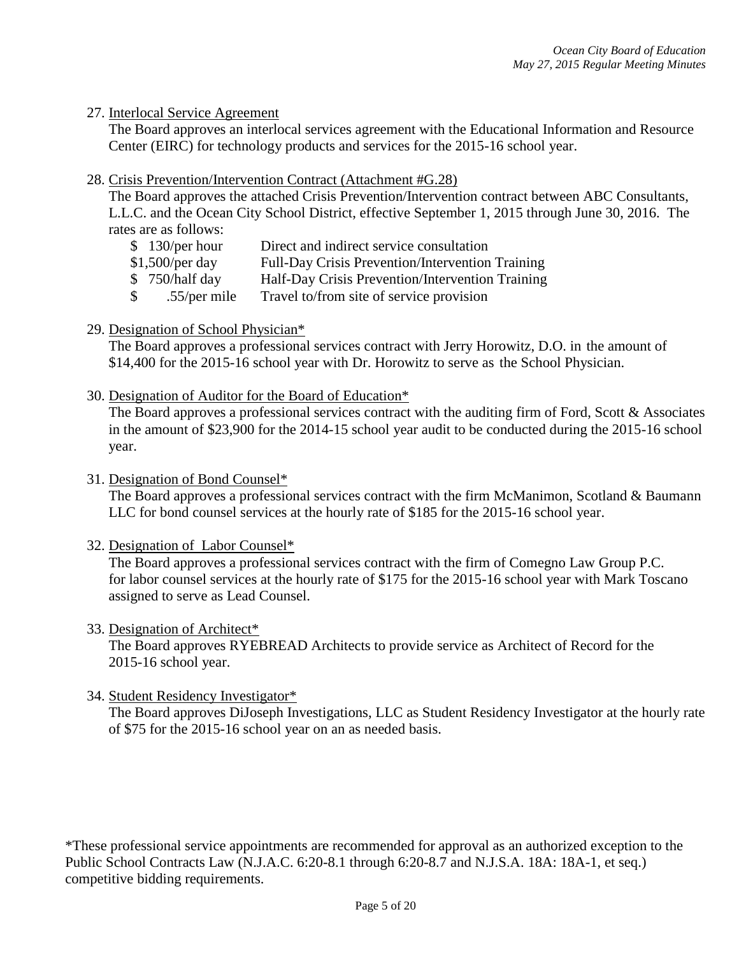#### 27. Interlocal Service Agreement

The Board approves an interlocal services agreement with the Educational Information and Resource Center (EIRC) for technology products and services for the 2015-16 school year.

#### 28. Crisis Prevention/Intervention Contract (Attachment #G.28)

The Board approves the attached Crisis Prevention/Intervention contract between ABC Consultants, L.L.C. and the Ocean City School District, effective September 1, 2015 through June 30, 2016. The rates are as follows:

- \$ 130/per hour Direct and indirect service consultation
- \$1,500/per day Full-Day Crisis Prevention/Intervention Training
- \$750/half day Half-Day Crisis Prevention/Intervention Training
- \$ .55/per mile Travel to/from site of service provision
- 29. Designation of School Physician\*

The Board approves a professional services contract with Jerry Horowitz, D.O. in the amount of \$14,400 for the 2015-16 school year with Dr. Horowitz to serve as the School Physician.

30. Designation of Auditor for the Board of Education\*

The Board approves a professional services contract with the auditing firm of Ford, Scott & Associates in the amount of \$23,900 for the 2014-15 school year audit to be conducted during the 2015-16 school year.

- 31. Designation of Bond Counsel\* The Board approves a professional services contract with the firm McManimon, Scotland & Baumann LLC for bond counsel services at the hourly rate of \$185 for the 2015-16 school year.
- 32. Designation of Labor Counsel\*

The Board approves a professional services contract with the firm of Comegno Law Group P.C. for labor counsel services at the hourly rate of \$175 for the 2015-16 school year with Mark Toscano assigned to serve as Lead Counsel.

#### 33. Designation of Architect\*

The Board approves RYEBREAD Architects to provide service as Architect of Record for the 2015-16 school year.

34. Student Residency Investigator\*

The Board approves DiJoseph Investigations, LLC as Student Residency Investigator at the hourly rate of \$75 for the 2015-16 school year on an as needed basis.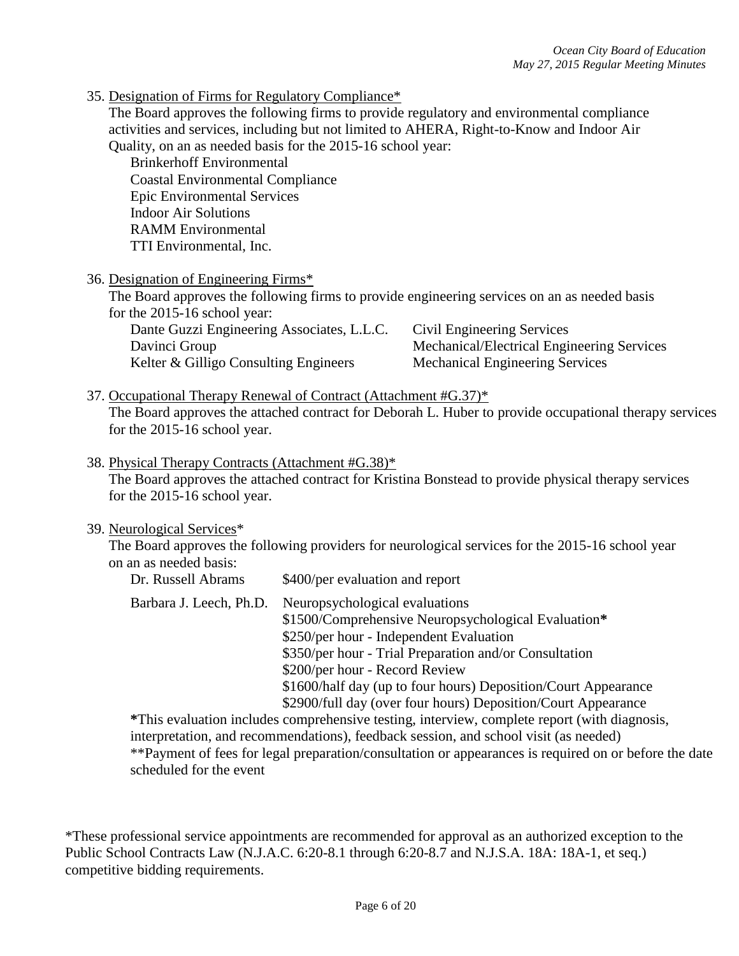35. Designation of Firms for Regulatory Compliance\*

The Board approves the following firms to provide regulatory and environmental compliance activities and services, including but not limited to AHERA, Right-to-Know and Indoor Air Quality, on an as needed basis for the 2015-16 school year:

Brinkerhoff Environmental Coastal Environmental Compliance Epic Environmental Services Indoor Air Solutions RAMM Environmental TTI Environmental, Inc.

36. Designation of Engineering Firms\*

The Board approves the following firms to provide engineering services on an as needed basis for the 2015-16 school year:

| Dante Guzzi Engineering Associates, L.L.C. | Civil Engineering Services                 |
|--------------------------------------------|--------------------------------------------|
| Davinci Group                              | Mechanical/Electrical Engineering Services |
| Kelter & Gilligo Consulting Engineers      | <b>Mechanical Engineering Services</b>     |

37. Occupational Therapy Renewal of Contract (Attachment #G.37)\* The Board approves the attached contract for Deborah L. Huber to provide occupational therapy services for the 2015-16 school year.

38. Physical Therapy Contracts (Attachment #G.38)\*

The Board approves the attached contract for Kristina Bonstead to provide physical therapy services for the 2015-16 school year.

#### 39. Neurological Services\*

The Board approves the following providers for neurological services for the 2015-16 school year on an as needed basis:

| Dr. Russell Abrams      | \$400/per evaluation and report                                                                                                                                                                                                 |
|-------------------------|---------------------------------------------------------------------------------------------------------------------------------------------------------------------------------------------------------------------------------|
| Barbara J. Leech, Ph.D. | Neuropsychological evaluations<br>\$1500/Comprehensive Neuropsychological Evaluation*<br>\$250/per hour - Independent Evaluation<br>\$350/per hour - Trial Preparation and/or Consultation<br>\$200/per hour - Record Review    |
|                         | \$1600/half day (up to four hours) Deposition/Court Appearance<br>\$2900/full day (over four hours) Deposition/Court Appearance<br>*This evaluation includes comprehensive testing, interview, complete report (with diagnosis, |

interpretation, and recommendations), feedback session, and school visit (as needed) \*\*Payment of fees for legal preparation/consultation or appearances is required on or before the date scheduled for the event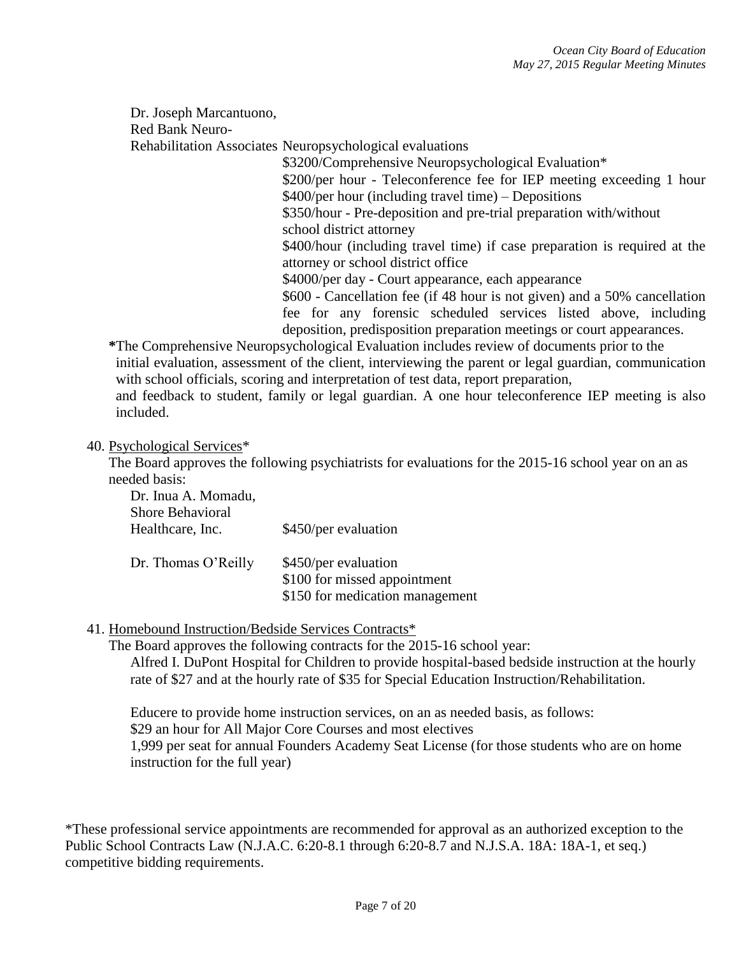Dr. Joseph Marcantuono,

Red Bank Neuro-

Rehabilitation Associates Neuropsychological evaluations

\$3200/Comprehensive Neuropsychological Evaluation\* \$200/per hour - Teleconference fee for IEP meeting exceeding 1 hour \$400/per hour (including travel time) – Depositions \$350/hour - Pre-deposition and pre-trial preparation with/without school district attorney \$400/hour (including travel time) if case preparation is required at the attorney or school district office \$4000/per day - Court appearance, each appearance \$600 - Cancellation fee (if 48 hour is not given) and a 50% cancellation fee for any forensic scheduled services listed above, including

deposition, predisposition preparation meetings or court appearances. **\***The Comprehensive Neuropsychological Evaluation includes review of documents prior to the

initial evaluation, assessment of the client, interviewing the parent or legal guardian, communication with school officials, scoring and interpretation of test data, report preparation,

and feedback to student, family or legal guardian. A one hour teleconference IEP meeting is also included.

40. Psychological Services\*

The Board approves the following psychiatrists for evaluations for the 2015-16 school year on an as needed basis:

Dr. Inua A. Momadu, Shore Behavioral Healthcare, Inc. \$450/per evaluation Dr. Thomas O'Reilly \$450/per evaluation \$100 for missed appointment \$150 for medication management

### 41. Homebound Instruction/Bedside Services Contracts\*

The Board approves the following contracts for the 2015-16 school year:

Alfred I. DuPont Hospital for Children to provide hospital-based bedside instruction at the hourly rate of \$27 and at the hourly rate of \$35 for Special Education Instruction/Rehabilitation.

Educere to provide home instruction services, on an as needed basis, as follows: \$29 an hour for All Major Core Courses and most electives 1,999 per seat for annual Founders Academy Seat License (for those students who are on home instruction for the full year)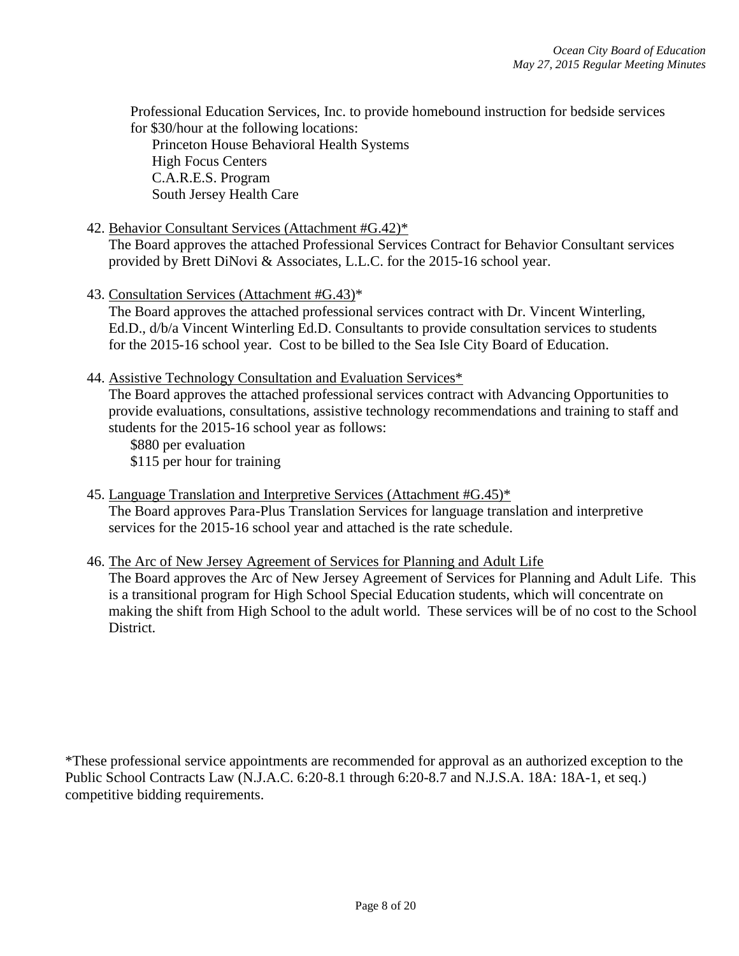Professional Education Services, Inc. to provide homebound instruction for bedside services for \$30/hour at the following locations:

Princeton House Behavioral Health Systems High Focus Centers C.A.R.E.S. Program South Jersey Health Care

#### 42. Behavior Consultant Services (Attachment #G.42)\*

The Board approves the attached Professional Services Contract for Behavior Consultant services provided by Brett DiNovi & Associates, L.L.C. for the 2015-16 school year.

43. Consultation Services (Attachment #G.43)\*

The Board approves the attached professional services contract with Dr. Vincent Winterling, Ed.D., d/b/a Vincent Winterling Ed.D. Consultants to provide consultation services to students for the 2015-16 school year. Cost to be billed to the Sea Isle City Board of Education.

44. Assistive Technology Consultation and Evaluation Services\*

The Board approves the attached professional services contract with Advancing Opportunities to provide evaluations, consultations, assistive technology recommendations and training to staff and students for the 2015-16 school year as follows:

\$880 per evaluation \$115 per hour for training

- 45. Language Translation and Interpretive Services (Attachment #G.45)\* The Board approves Para-Plus Translation Services for language translation and interpretive services for the 2015-16 school year and attached is the rate schedule.
- 46. The Arc of New Jersey Agreement of Services for Planning and Adult Life

The Board approves the Arc of New Jersey Agreement of Services for Planning and Adult Life. This is a transitional program for High School Special Education students, which will concentrate on making the shift from High School to the adult world. These services will be of no cost to the School District.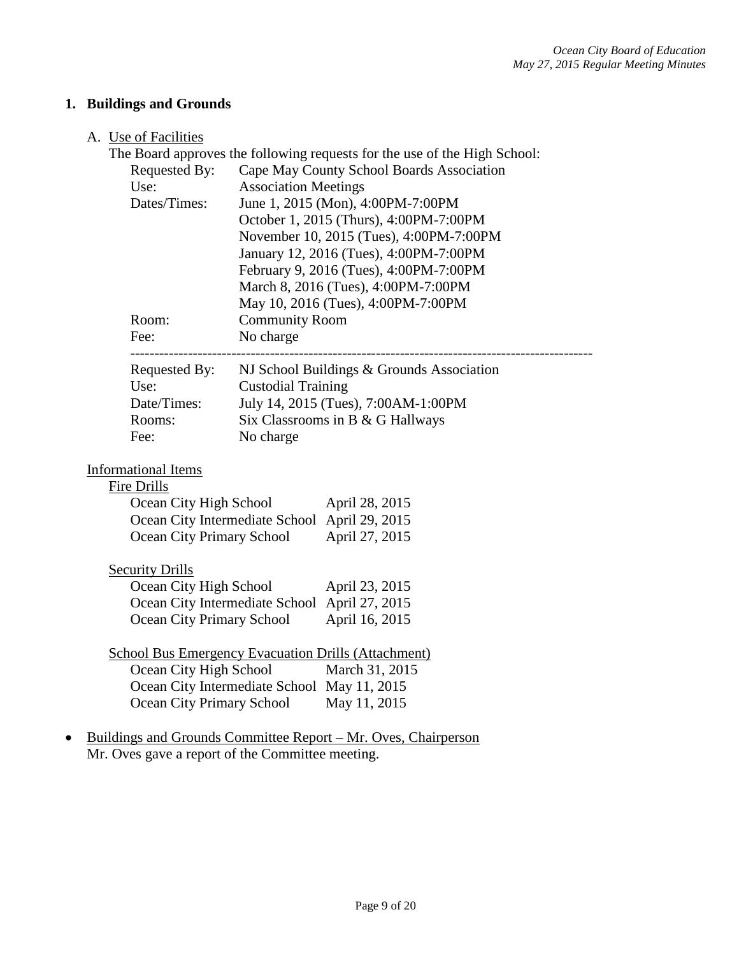# **1. Buildings and Grounds**

## A. Use of Facilities

| Requested By:                                       |                             | The Board approves the following requests for the use of the High School:<br>Cape May County School Boards Association |
|-----------------------------------------------------|-----------------------------|------------------------------------------------------------------------------------------------------------------------|
| Use:                                                | <b>Association Meetings</b> |                                                                                                                        |
| Dates/Times:                                        |                             | June 1, 2015 (Mon), 4:00PM-7:00PM                                                                                      |
|                                                     |                             | October 1, 2015 (Thurs), 4:00PM-7:00PM                                                                                 |
|                                                     |                             | November 10, 2015 (Tues), 4:00PM-7:00PM                                                                                |
|                                                     |                             | January 12, 2016 (Tues), 4:00PM-7:00PM                                                                                 |
|                                                     |                             | February 9, 2016 (Tues), 4:00PM-7:00PM                                                                                 |
|                                                     |                             | March 8, 2016 (Tues), 4:00PM-7:00PM                                                                                    |
|                                                     |                             | May 10, 2016 (Tues), 4:00PM-7:00PM                                                                                     |
| Room:                                               | <b>Community Room</b>       |                                                                                                                        |
| Fee:                                                | No charge                   |                                                                                                                        |
| Requested By:                                       |                             | NJ School Buildings & Grounds Association                                                                              |
| Use:                                                | <b>Custodial Training</b>   |                                                                                                                        |
| Date/Times:                                         |                             | July 14, 2015 (Tues), 7:00AM-1:00PM                                                                                    |
| Rooms:                                              |                             | Six Classrooms in B & G Hallways                                                                                       |
| Fee:                                                | No charge                   |                                                                                                                        |
|                                                     |                             |                                                                                                                        |
| <b>Informational Items</b>                          |                             |                                                                                                                        |
| Fire Drills                                         |                             |                                                                                                                        |
| Ocean City High School                              |                             | April 28, 2015                                                                                                         |
| Ocean City Intermediate School April 29, 2015       |                             |                                                                                                                        |
| Ocean City Primary School                           |                             | April 27, 2015                                                                                                         |
| <b>Security Drills</b>                              |                             |                                                                                                                        |
| Ocean City High School                              |                             | April 23, 2015                                                                                                         |
| Ocean City Intermediate School April 27, 2015       |                             |                                                                                                                        |
| Ocean City Primary School                           |                             | April 16, 2015                                                                                                         |
|                                                     |                             |                                                                                                                        |
| School Bus Emergency Evacuation Drills (Attachment) |                             |                                                                                                                        |
| Ocean City High School                              |                             | March 31, 2015                                                                                                         |
| Ocean City Intermediate School May 11, 2015         |                             |                                                                                                                        |
| <b>Ocean City Primary School</b>                    |                             | May 11, 2015                                                                                                           |
|                                                     |                             | Buildings and Grounds Committee Report – Mr. Oves, Chairperson                                                         |
|                                                     |                             |                                                                                                                        |

Mr. Oves gave a report of the Committee meeting.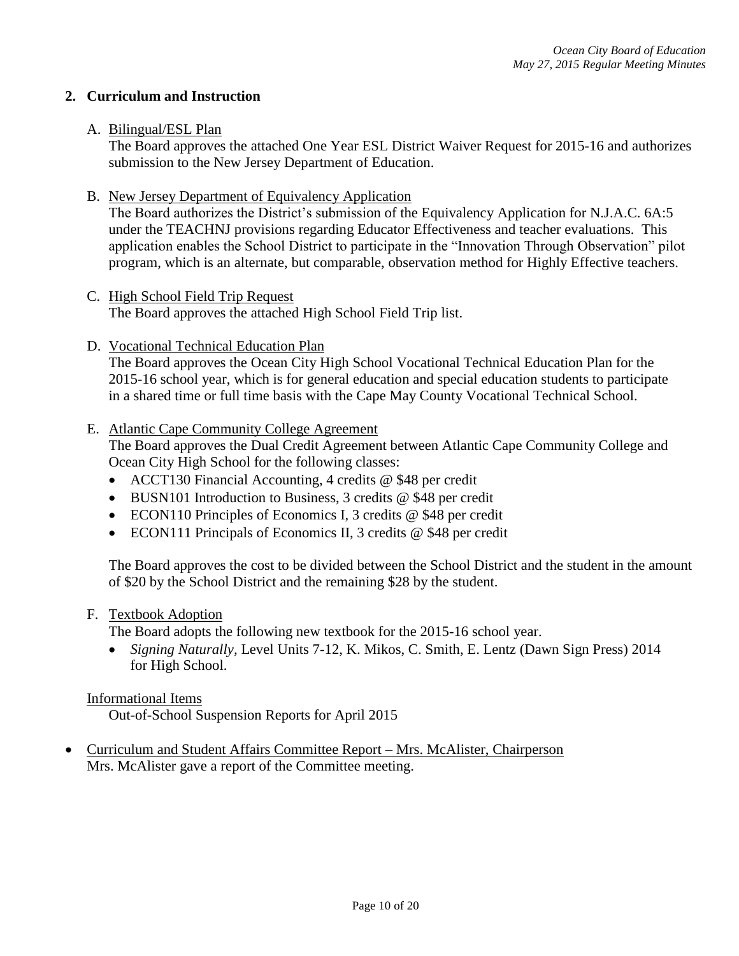### **2. Curriculum and Instruction**

#### A. Bilingual/ESL Plan

The Board approves the attached One Year ESL District Waiver Request for 2015-16 and authorizes submission to the New Jersey Department of Education.

B. New Jersey Department of Equivalency Application

The Board authorizes the District's submission of the Equivalency Application for N.J.A.C. 6A:5 under the TEACHNJ provisions regarding Educator Effectiveness and teacher evaluations. This application enables the School District to participate in the "Innovation Through Observation" pilot program, which is an alternate, but comparable, observation method for Highly Effective teachers.

- C. High School Field Trip Request The Board approves the attached High School Field Trip list.
- D. Vocational Technical Education Plan

The Board approves the Ocean City High School Vocational Technical Education Plan for the 2015-16 school year, which is for general education and special education students to participate in a shared time or full time basis with the Cape May County Vocational Technical School.

### E. Atlantic Cape Community College Agreement

The Board approves the Dual Credit Agreement between Atlantic Cape Community College and Ocean City High School for the following classes:

- ACCT130 Financial Accounting, 4 credits @ \$48 per credit
- BUSN101 Introduction to Business, 3 credits @ \$48 per credit
- ECON110 Principles of Economics I, 3 credits @ \$48 per credit
- ECON111 Principals of Economics II, 3 credits @ \$48 per credit

The Board approves the cost to be divided between the School District and the student in the amount of \$20 by the School District and the remaining \$28 by the student.

#### F. Textbook Adoption

The Board adopts the following new textbook for the 2015-16 school year.

 *Signing Naturally,* Level Units 7-12, K. Mikos, C. Smith, E. Lentz (Dawn Sign Press) 2014 for High School.

#### Informational Items

Out-of-School Suspension Reports for April 2015

 Curriculum and Student Affairs Committee Report – Mrs. McAlister, Chairperson Mrs. McAlister gave a report of the Committee meeting.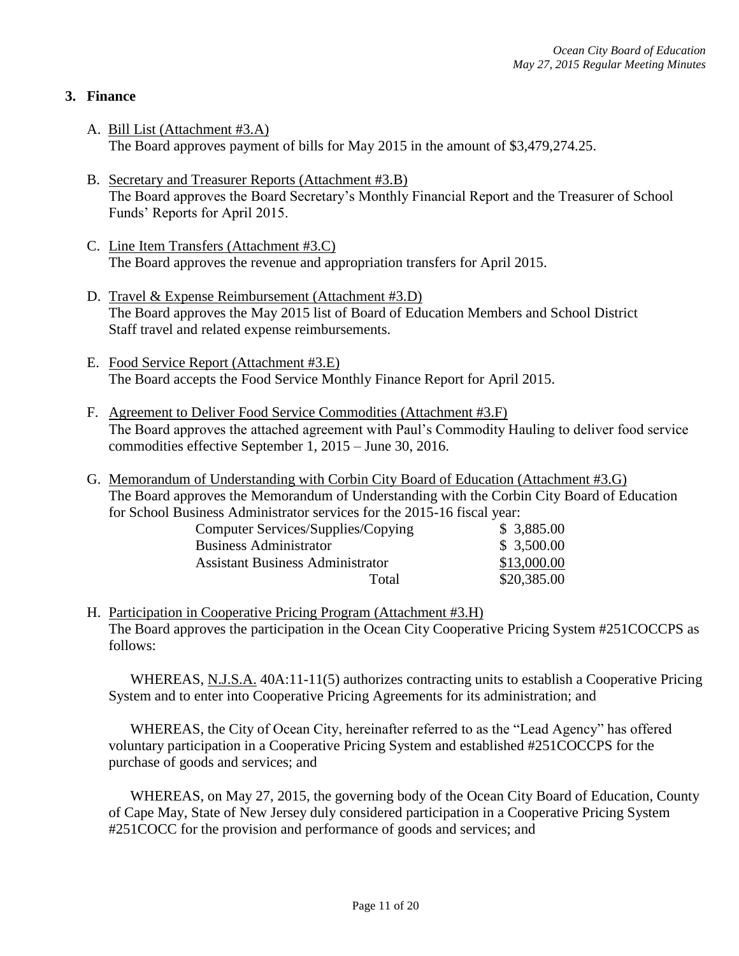## **3. Finance**

- A. Bill List (Attachment #3.A) The Board approves payment of bills for May 2015 in the amount of \$3,479,274.25.
- B. Secretary and Treasurer Reports (Attachment #3.B) The Board approves the Board Secretary's Monthly Financial Report and the Treasurer of School Funds' Reports for April 2015.
- C. Line Item Transfers (Attachment #3.C) The Board approves the revenue and appropriation transfers for April 2015.
- D. Travel & Expense Reimbursement (Attachment #3.D) The Board approves the May 2015 list of Board of Education Members and School District Staff travel and related expense reimbursements.
- E. Food Service Report (Attachment #3.E) The Board accepts the Food Service Monthly Finance Report for April 2015.
- F. Agreement to Deliver Food Service Commodities (Attachment #3.F) The Board approves the attached agreement with Paul's Commodity Hauling to deliver food service commodities effective September 1, 2015 – June 30, 2016.
- G. Memorandum of Understanding with Corbin City Board of Education (Attachment #3.G) The Board approves the Memorandum of Understanding with the Corbin City Board of Education for School Business Administrator services for the 2015-16 fiscal year:

| Computer Services/Supplies/Copying      | \$3,885.00  |
|-----------------------------------------|-------------|
| <b>Business Administrator</b>           | \$3,500.00  |
| <b>Assistant Business Administrator</b> | \$13,000.00 |
| Total                                   | \$20,385.00 |

H. Participation in Cooperative Pricing Program (Attachment #3.H) The Board approves the participation in the Ocean City Cooperative Pricing System #251COCCPS as follows:

WHEREAS, N.J.S.A. 40A:11-11(5) authorizes contracting units to establish a Cooperative Pricing System and to enter into Cooperative Pricing Agreements for its administration; and

WHEREAS, the City of Ocean City, hereinafter referred to as the "Lead Agency" has offered voluntary participation in a Cooperative Pricing System and established #251COCCPS for the purchase of goods and services; and

WHEREAS, on May 27, 2015, the governing body of the Ocean City Board of Education, County of Cape May, State of New Jersey duly considered participation in a Cooperative Pricing System #251COCC for the provision and performance of goods and services; and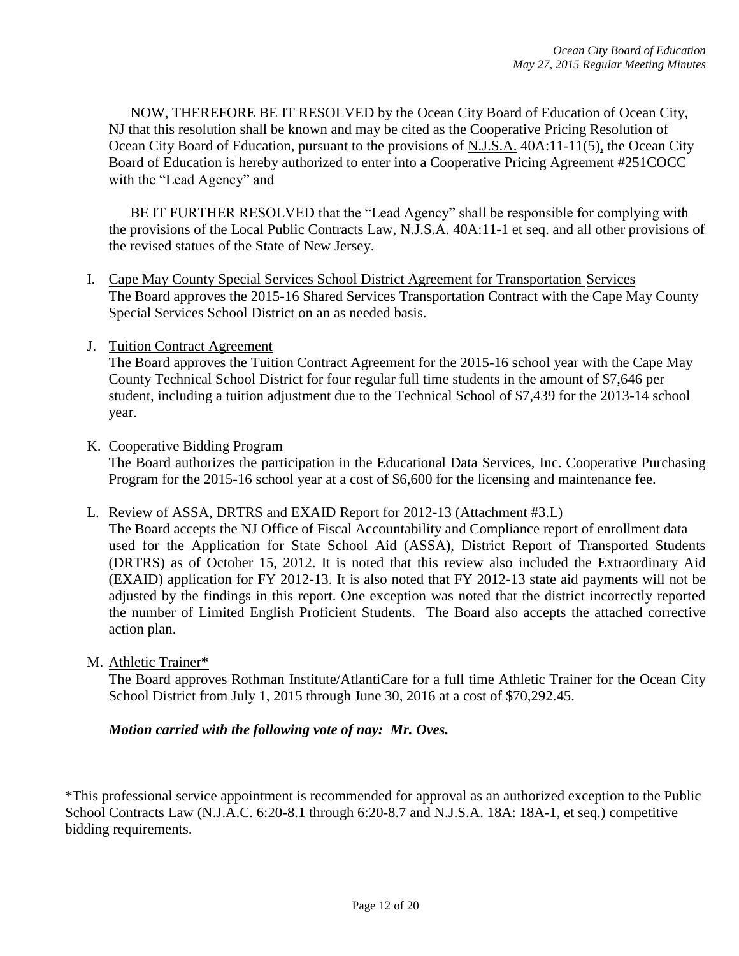NOW, THEREFORE BE IT RESOLVED by the Ocean City Board of Education of Ocean City, NJ that this resolution shall be known and may be cited as the Cooperative Pricing Resolution of Ocean City Board of Education, pursuant to the provisions of N.J.S.A. 40A:11-11(5), the Ocean City Board of Education is hereby authorized to enter into a Cooperative Pricing Agreement #251COCC with the "Lead Agency" and

BE IT FURTHER RESOLVED that the "Lead Agency" shall be responsible for complying with the provisions of the Local Public Contracts Law, N.J.S.A. 40A:11-1 et seq. and all other provisions of the revised statues of the State of New Jersey.

- I. Cape May County Special Services School District Agreement for Transportation Services The Board approves the 2015-16 Shared Services Transportation Contract with the Cape May County Special Services School District on an as needed basis.
- J. Tuition Contract Agreement

The Board approves the Tuition Contract Agreement for the 2015-16 school year with the Cape May County Technical School District for four regular full time students in the amount of \$7,646 per student, including a tuition adjustment due to the Technical School of \$7,439 for the 2013-14 school year.

K. Cooperative Bidding Program

The Board authorizes the participation in the Educational Data Services, Inc. Cooperative Purchasing Program for the 2015-16 school year at a cost of \$6,600 for the licensing and maintenance fee.

L. Review of ASSA, DRTRS and EXAID Report for 2012-13 (Attachment #3.L)

The Board accepts the NJ Office of Fiscal Accountability and Compliance report of enrollment data used for the Application for State School Aid (ASSA), District Report of Transported Students (DRTRS) as of October 15, 2012. It is noted that this review also included the Extraordinary Aid (EXAID) application for FY 2012-13. It is also noted that FY 2012-13 state aid payments will not be adjusted by the findings in this report. One exception was noted that the district incorrectly reported the number of Limited English Proficient Students. The Board also accepts the attached corrective action plan.

M. Athletic Trainer\*

The Board approves Rothman Institute/AtlantiCare for a full time Athletic Trainer for the Ocean City School District from July 1, 2015 through June 30, 2016 at a cost of \$70,292.45.

#### *Motion carried with the following vote of nay: Mr. Oves.*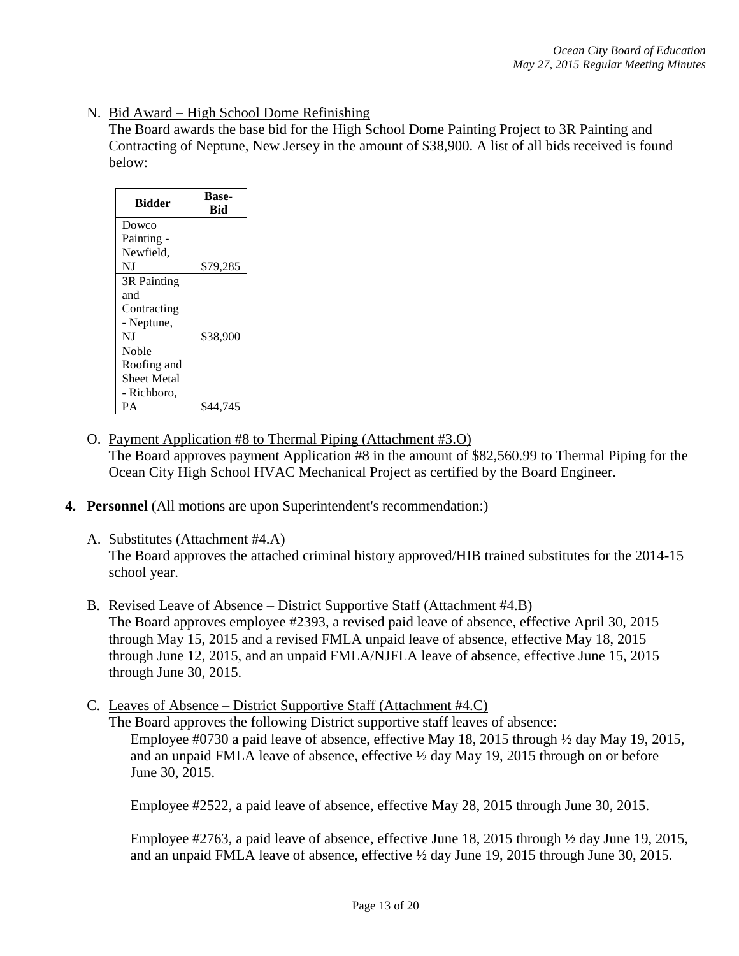### N. Bid Award – High School Dome Refinishing

The Board awards the base bid for the High School Dome Painting Project to 3R Painting and Contracting of Neptune, New Jersey in the amount of \$38,900. A list of all bids received is found below:

| <b>Bidder</b> | <b>Base-</b><br><b>Bid</b> |
|---------------|----------------------------|
| Dowco         |                            |
| Painting -    |                            |
| Newfield,     |                            |
| NJ            | \$79,285                   |
| 3R Painting   |                            |
| and           |                            |
| Contracting   |                            |
| - Neptune,    |                            |
| NJ            | \$38,900                   |
| Noble         |                            |
| Roofing and   |                            |
| Sheet Metal   |                            |
| - Richboro,   |                            |
| PА            | \$44,745                   |

- O. Payment Application #8 to Thermal Piping (Attachment #3.O) The Board approves payment Application #8 in the amount of \$82,560.99 to Thermal Piping for the Ocean City High School HVAC Mechanical Project as certified by the Board Engineer.
- **4. Personnel** (All motions are upon Superintendent's recommendation:)
	- A. Substitutes (Attachment #4.A)

The Board approves the attached criminal history approved/HIB trained substitutes for the 2014-15 school year.

- B. Revised Leave of Absence District Supportive Staff (Attachment #4.B) The Board approves employee #2393, a revised paid leave of absence, effective April 30, 2015 through May 15, 2015 and a revised FMLA unpaid leave of absence, effective May 18, 2015 through June 12, 2015, and an unpaid FMLA/NJFLA leave of absence, effective June 15, 2015 through June 30, 2015.
- C. Leaves of Absence District Supportive Staff (Attachment #4.C)

The Board approves the following District supportive staff leaves of absence: Employee #0730 a paid leave of absence, effective May 18, 2015 through ½ day May 19, 2015, and an unpaid FMLA leave of absence, effective ½ day May 19, 2015 through on or before June 30, 2015.

Employee #2522, a paid leave of absence, effective May 28, 2015 through June 30, 2015.

Employee  $\#2763$ , a paid leave of absence, effective June 18, 2015 through  $\frac{1}{2}$  day June 19, 2015, and an unpaid FMLA leave of absence, effective ½ day June 19, 2015 through June 30, 2015.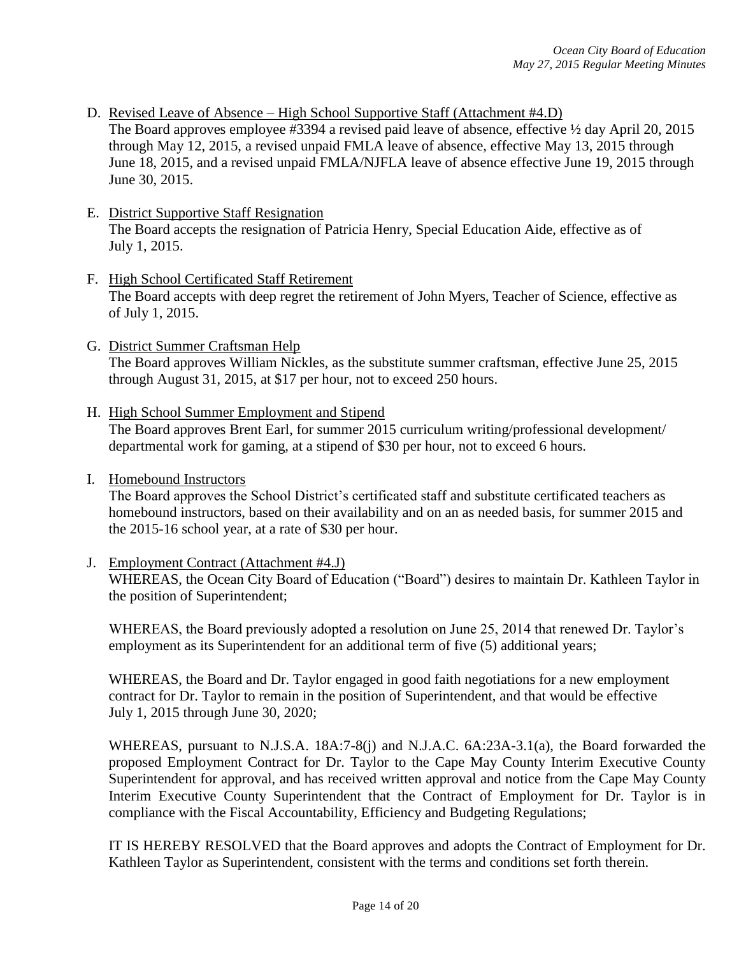- D. Revised Leave of Absence High School Supportive Staff (Attachment #4.D) The Board approves employee #3394 a revised paid leave of absence, effective ½ day April 20, 2015 through May 12, 2015, a revised unpaid FMLA leave of absence, effective May 13, 2015 through June 18, 2015, and a revised unpaid FMLA/NJFLA leave of absence effective June 19, 2015 through June 30, 2015.
- E. District Supportive Staff Resignation The Board accepts the resignation of Patricia Henry, Special Education Aide, effective as of July 1, 2015.
- F. High School Certificated Staff Retirement The Board accepts with deep regret the retirement of John Myers, Teacher of Science, effective as of July 1, 2015.
- G. District Summer Craftsman Help The Board approves William Nickles, as the substitute summer craftsman, effective June 25, 2015 through August 31, 2015, at \$17 per hour, not to exceed 250 hours.
- H. High School Summer Employment and Stipend The Board approves Brent Earl, for summer 2015 curriculum writing/professional development/ departmental work for gaming, at a stipend of \$30 per hour, not to exceed 6 hours.
- I. Homebound Instructors

The Board approves the School District's certificated staff and substitute certificated teachers as homebound instructors, based on their availability and on an as needed basis, for summer 2015 and the 2015-16 school year, at a rate of \$30 per hour.

J. Employment Contract (Attachment #4.J) WHEREAS, the Ocean City Board of Education ("Board") desires to maintain Dr. Kathleen Taylor in the position of Superintendent;

WHEREAS, the Board previously adopted a resolution on June 25, 2014 that renewed Dr. Taylor's employment as its Superintendent for an additional term of five (5) additional years;

WHEREAS, the Board and Dr. Taylor engaged in good faith negotiations for a new employment contract for Dr. Taylor to remain in the position of Superintendent, and that would be effective July 1, 2015 through June 30, 2020;

WHEREAS, pursuant to N.J.S.A. 18A:7-8(j) and N.J.A.C. 6A:23A-3.1(a), the Board forwarded the proposed Employment Contract for Dr. Taylor to the Cape May County Interim Executive County Superintendent for approval, and has received written approval and notice from the Cape May County Interim Executive County Superintendent that the Contract of Employment for Dr. Taylor is in compliance with the Fiscal Accountability, Efficiency and Budgeting Regulations;

IT IS HEREBY RESOLVED that the Board approves and adopts the Contract of Employment for Dr. Kathleen Taylor as Superintendent, consistent with the terms and conditions set forth therein.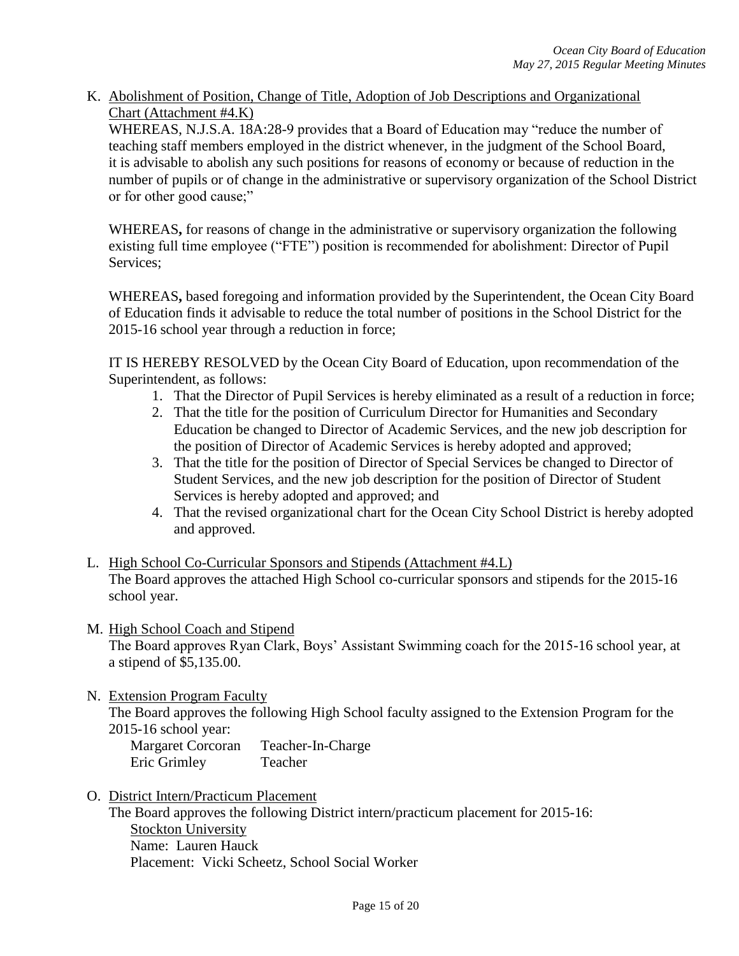K. Abolishment of Position, Change of Title, Adoption of Job Descriptions and Organizational Chart (Attachment #4.K)

WHEREAS, N.J.S.A. 18A:28-9 provides that a Board of Education may "reduce the number of teaching staff members employed in the district whenever, in the judgment of the School Board, it is advisable to abolish any such positions for reasons of economy or because of reduction in the number of pupils or of change in the administrative or supervisory organization of the School District or for other good cause;"

WHEREAS**,** for reasons of change in the administrative or supervisory organization the following existing full time employee ("FTE") position is recommended for abolishment: Director of Pupil Services;

WHEREAS**,** based foregoing and information provided by the Superintendent, the Ocean City Board of Education finds it advisable to reduce the total number of positions in the School District for the 2015-16 school year through a reduction in force;

IT IS HEREBY RESOLVED by the Ocean City Board of Education, upon recommendation of the Superintendent, as follows:

- 1. That the Director of Pupil Services is hereby eliminated as a result of a reduction in force;
- 2. That the title for the position of Curriculum Director for Humanities and Secondary Education be changed to Director of Academic Services, and the new job description for the position of Director of Academic Services is hereby adopted and approved;
- 3. That the title for the position of Director of Special Services be changed to Director of Student Services, and the new job description for the position of Director of Student Services is hereby adopted and approved; and
- 4. That the revised organizational chart for the Ocean City School District is hereby adopted and approved.
- L. High School Co-Curricular Sponsors and Stipends (Attachment #4.L) The Board approves the attached High School co-curricular sponsors and stipends for the 2015-16 school year.
- M. High School Coach and Stipend The Board approves Ryan Clark, Boys' Assistant Swimming coach for the 2015-16 school year, at a stipend of \$5,135.00.
- N. Extension Program Faculty

The Board approves the following High School faculty assigned to the Extension Program for the 2015-16 school year:

Margaret Corcoran Teacher-In-Charge Eric Grimley Teacher

O. District Intern/Practicum Placement

The Board approves the following District intern/practicum placement for 2015-16: Stockton University Name: Lauren Hauck Placement: Vicki Scheetz, School Social Worker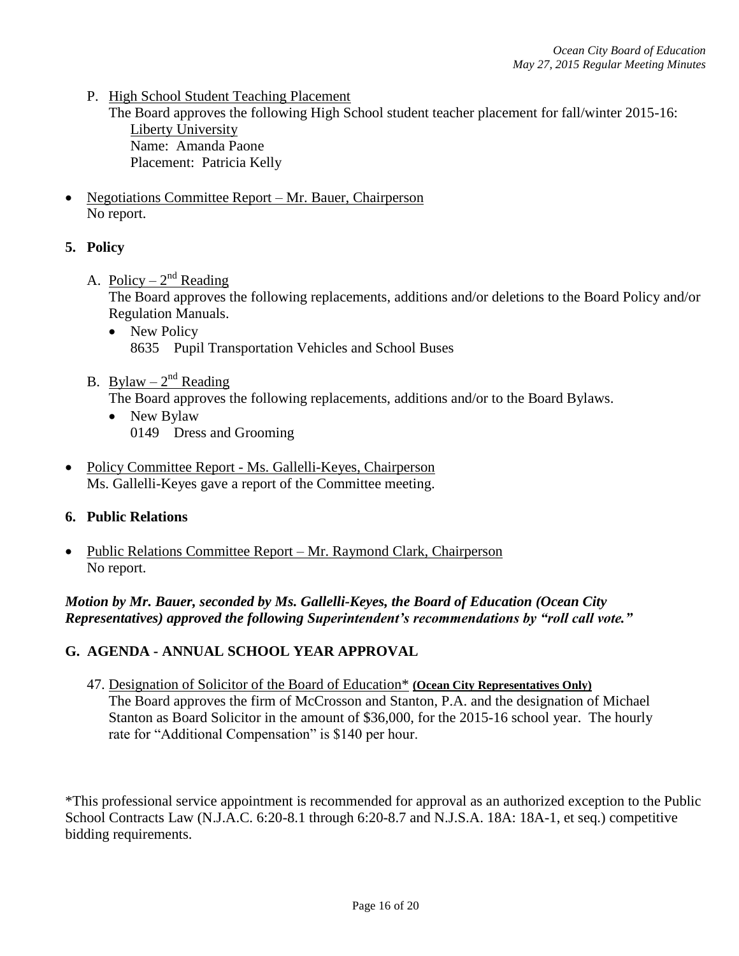P. High School Student Teaching Placement

The Board approves the following High School student teacher placement for fall/winter 2015-16: Liberty University Name: Amanda Paone Placement: Patricia Kelly

 Negotiations Committee Report – Mr. Bauer, Chairperson No report.

### **5. Policy**

A. Policy –  $2<sup>nd</sup>$  Reading

The Board approves the following replacements, additions and/or deletions to the Board Policy and/or Regulation Manuals.

- New Policy 8635 Pupil Transportation Vehicles and School Buses
- B. Bylaw  $2<sup>nd</sup>$  Reading

The Board approves the following replacements, additions and/or to the Board Bylaws.

- New Bylaw 0149 Dress and Grooming
- Policy Committee Report Ms. Gallelli-Keyes, Chairperson Ms. Gallelli-Keyes gave a report of the Committee meeting.

### **6. Public Relations**

• Public Relations Committee Report – Mr. Raymond Clark, Chairperson No report.

### *Motion by Mr. Bauer, seconded by Ms. Gallelli-Keyes, the Board of Education (Ocean City Representatives) approved the following Superintendent's recommendations by "roll call vote."*

### **G. AGENDA - ANNUAL SCHOOL YEAR APPROVAL**

47. Designation of Solicitor of the Board of Education\* **(Ocean City Representatives Only)** The Board approves the firm of McCrosson and Stanton, P.A. and the designation of Michael Stanton as Board Solicitor in the amount of \$36,000, for the 2015-16 school year. The hourly rate for "Additional Compensation" is \$140 per hour.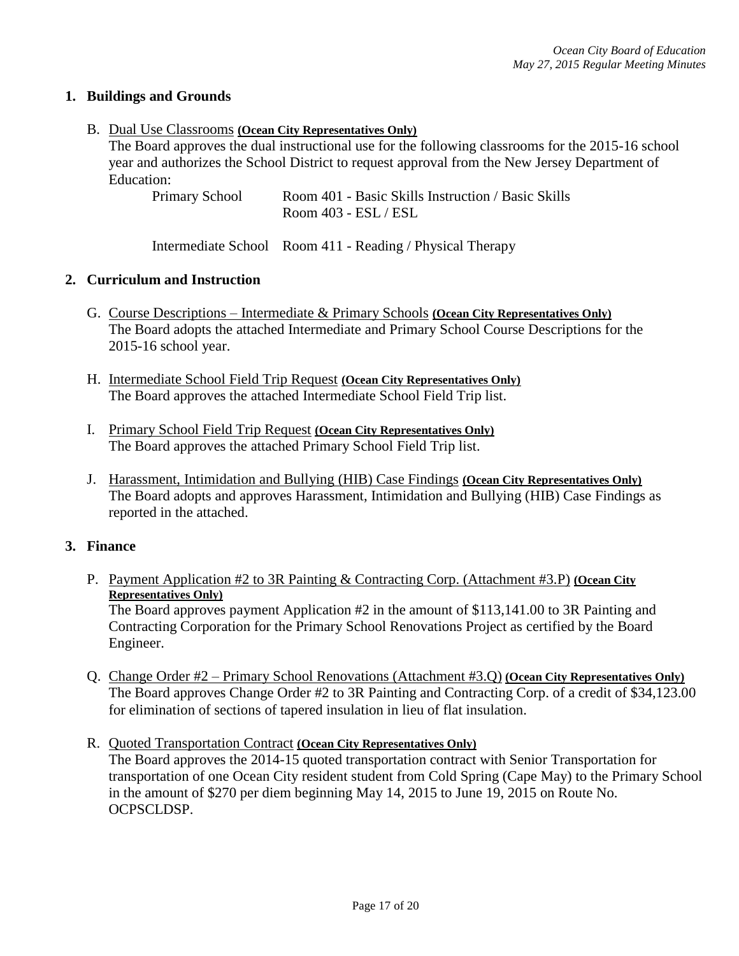### **1. Buildings and Grounds**

#### B. Dual Use Classrooms **(Ocean City Representatives Only)**

The Board approves the dual instructional use for the following classrooms for the 2015-16 school year and authorizes the School District to request approval from the New Jersey Department of Education:

Primary School Room 401 - Basic Skills Instruction / Basic Skills Room 403 - ESL / ESL

Intermediate School Room 411 - Reading / Physical Therapy

### **2. Curriculum and Instruction**

- G. Course Descriptions Intermediate & Primary Schools **(Ocean City Representatives Only)** The Board adopts the attached Intermediate and Primary School Course Descriptions for the 2015-16 school year.
- H. Intermediate School Field Trip Request **(Ocean City Representatives Only)** The Board approves the attached Intermediate School Field Trip list.
- I. Primary School Field Trip Request **(Ocean City Representatives Only)** The Board approves the attached Primary School Field Trip list.
- J. Harassment, Intimidation and Bullying (HIB) Case Findings **(Ocean City Representatives Only)** The Board adopts and approves Harassment, Intimidation and Bullying (HIB) Case Findings as reported in the attached.

#### **3. Finance**

P. Payment Application #2 to 3R Painting & Contracting Corp. (Attachment #3.P) **(Ocean City Representatives Only)**

The Board approves payment Application #2 in the amount of \$113,141.00 to 3R Painting and Contracting Corporation for the Primary School Renovations Project as certified by the Board Engineer.

- Q. Change Order #2 Primary School Renovations (Attachment #3.Q) **(Ocean City Representatives Only)** The Board approves Change Order #2 to 3R Painting and Contracting Corp. of a credit of \$34,123.00 for elimination of sections of tapered insulation in lieu of flat insulation.
- R. Quoted Transportation Contract **(Ocean City Representatives Only)** The Board approves the 2014-15 quoted transportation contract with Senior Transportation for transportation of one Ocean City resident student from Cold Spring (Cape May) to the Primary School in the amount of \$270 per diem beginning May 14, 2015 to June 19, 2015 on Route No. OCPSCLDSP.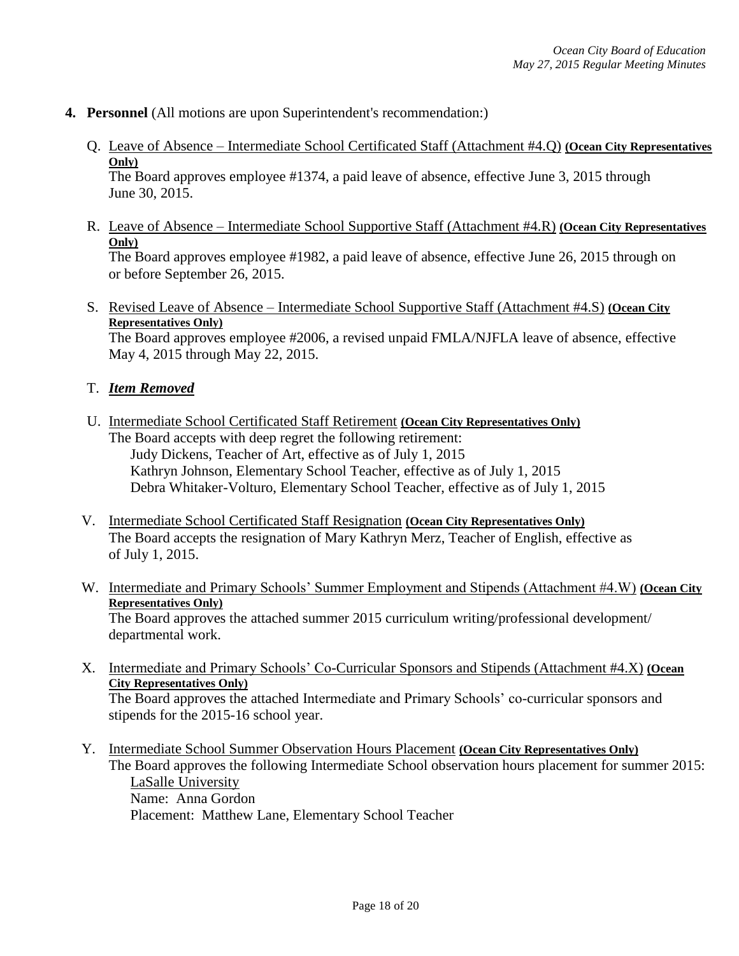#### **4. Personnel** (All motions are upon Superintendent's recommendation:)

Q. Leave of Absence – Intermediate School Certificated Staff (Attachment #4.Q) **(Ocean City Representatives Only)**

The Board approves employee #1374, a paid leave of absence, effective June 3, 2015 through June 30, 2015.

R. Leave of Absence – Intermediate School Supportive Staff (Attachment #4.R) **(Ocean City Representatives Only)**

The Board approves employee #1982, a paid leave of absence, effective June 26, 2015 through on or before September 26, 2015.

S. Revised Leave of Absence – Intermediate School Supportive Staff (Attachment #4.S) **(Ocean City Representatives Only)** 

The Board approves employee #2006, a revised unpaid FMLA/NJFLA leave of absence, effective May 4, 2015 through May 22, 2015.

### T. *Item Removed*

- U. Intermediate School Certificated Staff Retirement **(Ocean City Representatives Only)** The Board accepts with deep regret the following retirement: Judy Dickens, Teacher of Art, effective as of July 1, 2015 Kathryn Johnson, Elementary School Teacher, effective as of July 1, 2015 Debra Whitaker-Volturo, Elementary School Teacher, effective as of July 1, 2015
- V. Intermediate School Certificated Staff Resignation **(Ocean City Representatives Only)** The Board accepts the resignation of Mary Kathryn Merz, Teacher of English, effective as of July 1, 2015.
- W. Intermediate and Primary Schools' Summer Employment and Stipends (Attachment #4.W) **(Ocean City Representatives Only)**

The Board approves the attached summer 2015 curriculum writing/professional development/ departmental work.

- X. Intermediate and Primary Schools' Co-Curricular Sponsors and Stipends (Attachment #4.X) **(Ocean City Representatives Only)** The Board approves the attached Intermediate and Primary Schools' co-curricular sponsors and stipends for the 2015-16 school year.
- Y. Intermediate School Summer Observation Hours Placement **(Ocean City Representatives Only)** The Board approves the following Intermediate School observation hours placement for summer 2015: LaSalle University Name: Anna Gordon Placement: Matthew Lane, Elementary School Teacher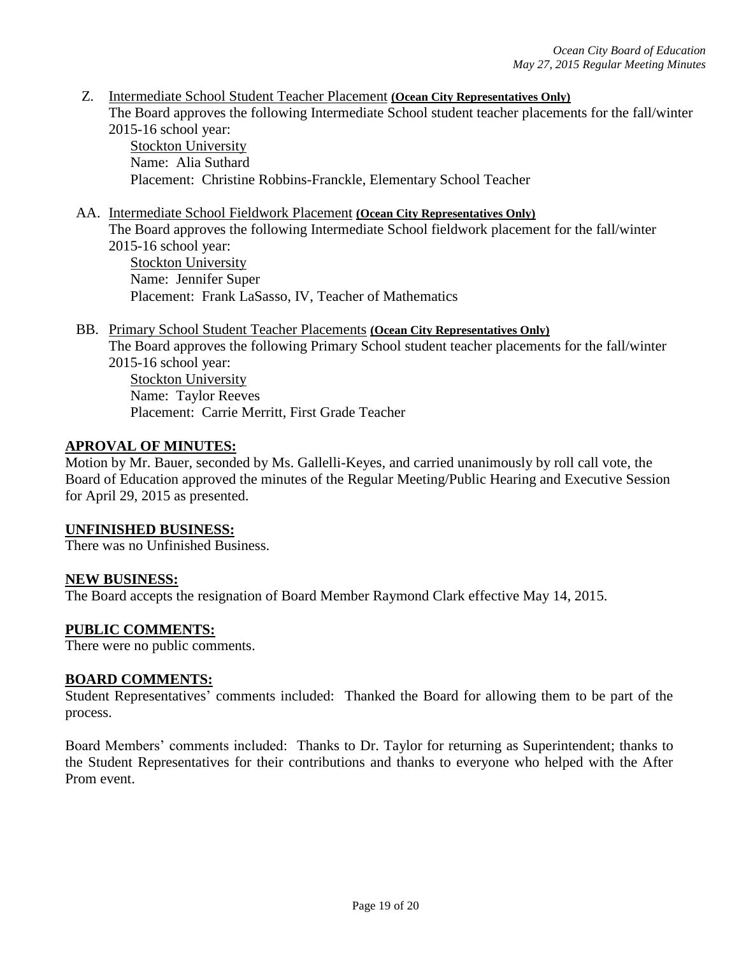Z. Intermediate School Student Teacher Placement **(Ocean City Representatives Only)** The Board approves the following Intermediate School student teacher placements for the fall/winter 2015-16 school year:

Stockton University Name: Alia Suthard Placement: Christine Robbins-Franckle, Elementary School Teacher

#### AA. Intermediate School Fieldwork Placement **(Ocean City Representatives Only)**

The Board approves the following Intermediate School fieldwork placement for the fall/winter 2015-16 school year: Stockton University Name: Jennifer Super Placement: Frank LaSasso, IV, Teacher of Mathematics

BB. Primary School Student Teacher Placements **(Ocean City Representatives Only)** The Board approves the following Primary School student teacher placements for the fall/winter 2015-16 school year: Stockton University

Name: Taylor Reeves Placement: Carrie Merritt, First Grade Teacher

#### **APROVAL OF MINUTES:**

Motion by Mr. Bauer, seconded by Ms. Gallelli-Keyes, and carried unanimously by roll call vote, the Board of Education approved the minutes of the Regular Meeting/Public Hearing and Executive Session for April 29, 2015 as presented.

#### **UNFINISHED BUSINESS:**

There was no Unfinished Business.

#### **NEW BUSINESS:**

The Board accepts the resignation of Board Member Raymond Clark effective May 14, 2015.

#### **PUBLIC COMMENTS:**

There were no public comments.

#### **BOARD COMMENTS:**

Student Representatives' comments included: Thanked the Board for allowing them to be part of the process.

Board Members' comments included: Thanks to Dr. Taylor for returning as Superintendent; thanks to the Student Representatives for their contributions and thanks to everyone who helped with the After Prom event.